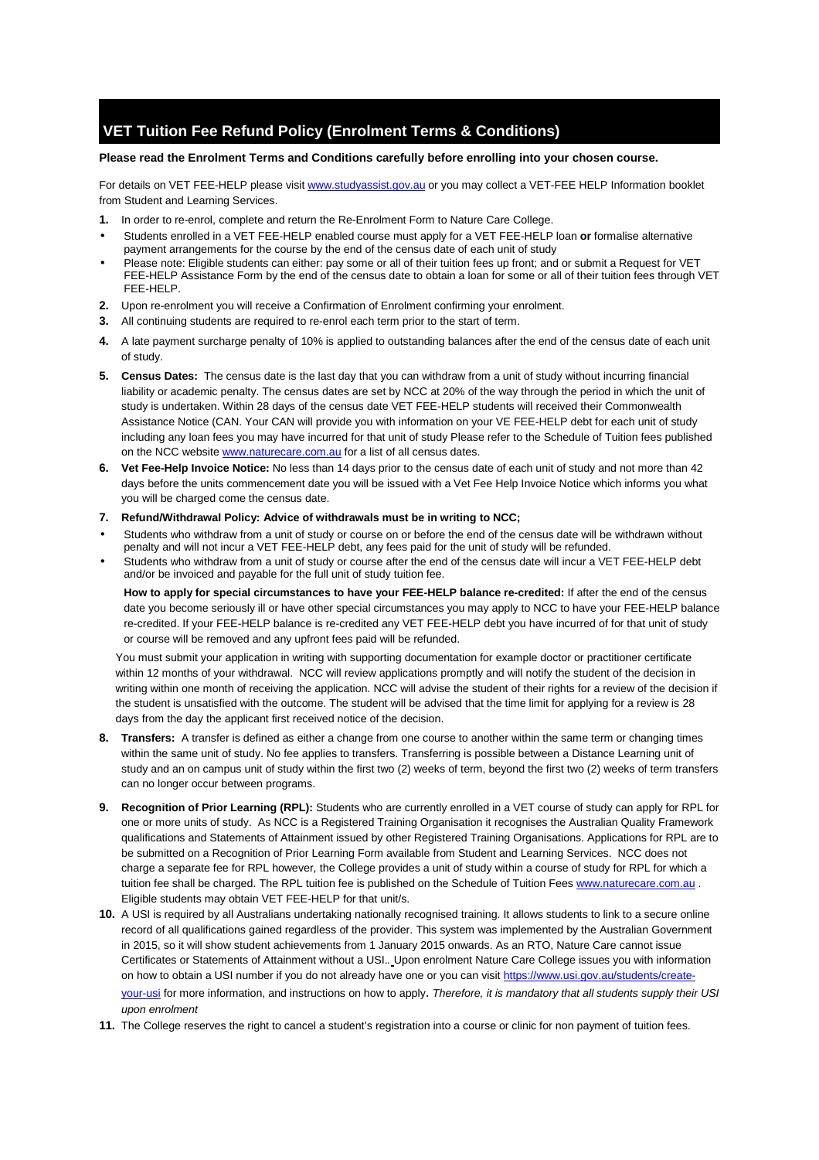# **VET Tuition Fee Refund Policy (Enrolment Terms & Conditions)**

## **Please read the Enrolment Terms and Conditions carefully before enrolling into your chosen course.**

For details on VET FEE-HELP please visit www.studyassist.gov.au or you may collect a VET-FEE HELP Information booklet from Student and Learning Services.

- **1.** In order to re-enrol, complete and return the Re-Enrolment Form to Nature Care College.
- Students enrolled in a VET FEE-HELP enabled course must apply for a VET FEE-HELP loan **or** formalise alternative payment arrangements for the course by the end of the census date of each unit of study
- Please note: Eligible students can either: pay some or all of their tuition fees up front; and or submit a Request for VET FEE-HELP Assistance Form by the end of the census date to obtain a loan for some or all of their tuition fees through VET FEE-HELP.
- **2.** Upon re-enrolment you will receive a Confirmation of Enrolment confirming your enrolment.
- **3.** All continuing students are required to re-enrol each term prior to the start of term.
- **4.** A late payment surcharge penalty of 10% is applied to outstanding balances after the end of the census date of each unit of study.
- **5. Census Dates:** The census date is the last day that you can withdraw from a unit of study without incurring financial liability or academic penalty. The census dates are set by NCC at 20% of the way through the period in which the unit of study is undertaken. Within 28 days of the census date VET FEE-HELP students will received their Commonwealth Assistance Notice (CAN. Your CAN will provide you with information on your VE FEE-HELP debt for each unit of study including any loan fees you may have incurred for that unit of study Please refer to the Schedule of Tuition fees published on the NCC website www.naturecare.com.au for a list of all census dates.
- **6. Vet Fee-Help Invoice Notice:** No less than 14 days prior to the census date of each unit of study and not more than 42 days before the units commencement date you will be issued with a Vet Fee Help Invoice Notice which informs you what you will be charged come the census date.
- **7. Refund/Withdrawal Policy: Advice of withdrawals must be in writing to NCC;**
- Students who withdraw from a unit of study or course on or before the end of the census date will be withdrawn without penalty and will not incur a VET FEE-HELP debt, any fees paid for the unit of study will be refunded.
- Students who withdraw from a unit of study or course after the end of the census date will incur a VET FEE-HELP debt and/or be invoiced and payable for the full unit of study tuition fee.

**How to apply for special circumstances to have your FEE-HELP balance re-credited:** If after the end of the census date you become seriously ill or have other special circumstances you may apply to NCC to have your FEE-HELP balance re-credited. If your FEE-HELP balance is re-credited any VET FEE-HELP debt you have incurred of for that unit of study or course will be removed and any upfront fees paid will be refunded.

 You must submit your application in writing with supporting documentation for example doctor or practitioner certificate within 12 months of your withdrawal. NCC will review applications promptly and will notify the student of the decision in writing within one month of receiving the application. NCC will advise the student of their rights for a review of the decision if the student is unsatisfied with the outcome. The student will be advised that the time limit for applying for a review is 28 days from the day the applicant first received notice of the decision.

- **8. Transfers:** A transfer is defined as either a change from one course to another within the same term or changing times within the same unit of study. No fee applies to transfers. Transferring is possible between a Distance Learning unit of study and an on campus unit of study within the first two (2) weeks of term, beyond the first two (2) weeks of term transfers can no longer occur between programs.
- **9. Recognition of Prior Learning (RPL):** Students who are currently enrolled in a VET course of study can apply for RPL for one or more units of study. As NCC is a Registered Training Organisation it recognises the Australian Quality Framework qualifications and Statements of Attainment issued by other Registered Training Organisations. Applications for RPL are to be submitted on a Recognition of Prior Learning Form available from Student and Learning Services. NCC does not charge a separate fee for RPL however, the College provides a unit of study within a course of study for RPL for which a tuition fee shall be charged. The RPL tuition fee is published on the Schedule of Tuition Fees www.naturecare.com.au . Eligible students may obtain VET FEE-HELP for that unit/s.
- **10.** A USI is required by all Australians undertaking nationally recognised training. It allows students to link to a secure online record of all qualifications gained regardless of the provider. This system was implemented by the Australian Government in 2015, so it will show student achievements from 1 January 2015 onwards. As an RTO, Nature Care cannot issue Certificates or Statements of Attainment without a USI.. Upon enrolment Nature Care College issues you with information on how to obtain a USI number if you do not already have one or you can visit https://www.usi.gov.au/students/createyour-usi for more information, and instructions on how to apply. Therefore, it is mandatory that all students supply their USI upon enrolment
- **11.** The College reserves the right to cancel a student's registration into a course or clinic for non payment of tuition fees.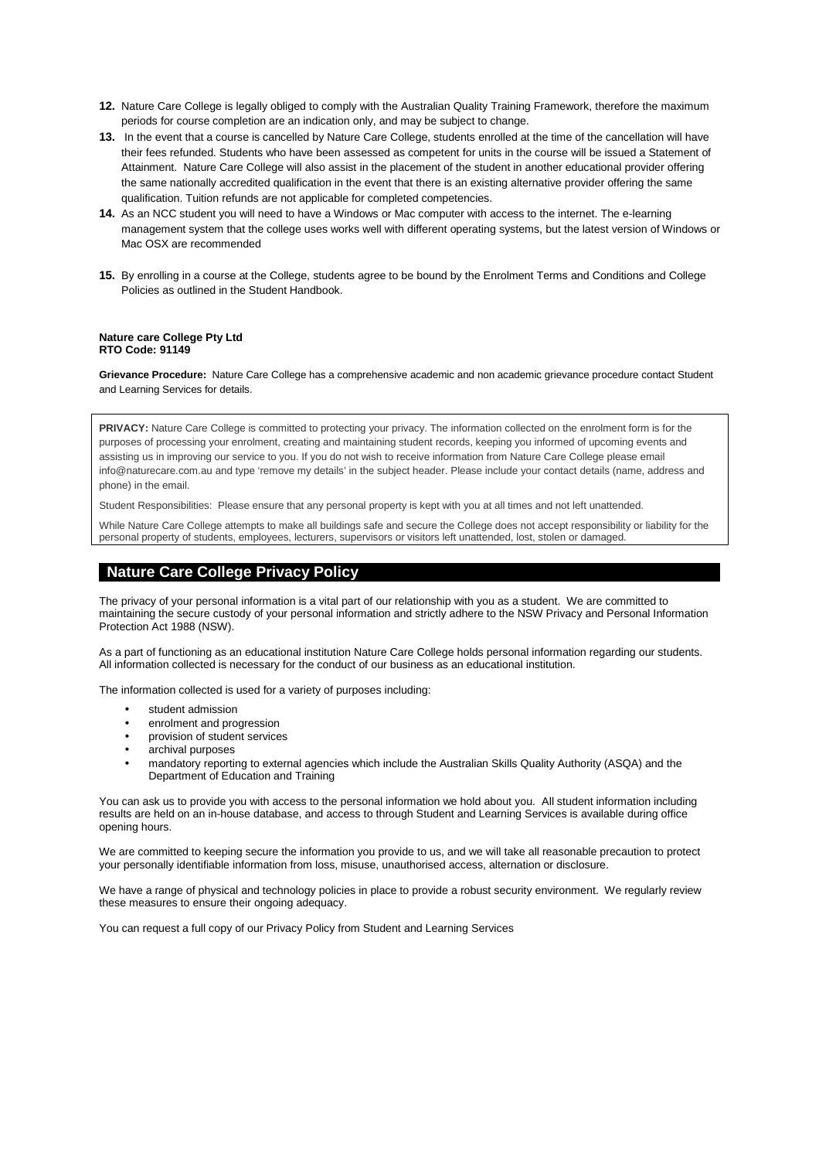- **12.** Nature Care College is legally obliged to comply with the Australian Quality Training Framework, therefore the maximum periods for course completion are an indication only, and may be subject to change.
- **13.** In the event that a course is cancelled by Nature Care College, students enrolled at the time of the cancellation will have their fees refunded. Students who have been assessed as competent for units in the course will be issued a Statement of Attainment. Nature Care College will also assist in the placement of the student in another educational provider offering the same nationally accredited qualification in the event that there is an existing alternative provider offering the same qualification. Tuition refunds are not applicable for completed competencies.
- **14.** As an NCC student you will need to have a Windows or Mac computer with access to the internet. The e-learning management system that the college uses works well with different operating systems, but the latest version of Windows or Mac OSX are recommended
- **15.** By enrolling in a course at the College, students agree to be bound by the Enrolment Terms and Conditions and College Policies as outlined in the Student Handbook.

### **Nature care College Pty Ltd RTO Code: 91149**

**Grievance Procedure:** Nature Care College has a comprehensive academic and non academic grievance procedure contact Student and Learning Services for details.

**PRIVACY:** Nature Care College is committed to protecting your privacy. The information collected on the enrolment form is for the purposes of processing your enrolment, creating and maintaining student records, keeping you informed of upcoming events and assisting us in improving our service to you. If you do not wish to receive information from Nature Care College please email info@naturecare.com.au and type 'remove my details' in the subject header. Please include your contact details (name, address and phone) in the email.

Student Responsibilities: Please ensure that any personal property is kept with you at all times and not left unattended.

While Nature Care College attempts to make all buildings safe and secure the College does not accept responsibility or liability for the personal property of students, employees, lecturers, supervisors or visitors left unattended, lost, stolen or damaged.

# **Nature Care College Privacy Policy**

The privacy of your personal information is a vital part of our relationship with you as a student. We are committed to maintaining the secure custody of your personal information and strictly adhere to the NSW Privacy and Personal Information Protection Act 1988 (NSW).

As a part of functioning as an educational institution Nature Care College holds personal information regarding our students. All information collected is necessary for the conduct of our business as an educational institution.

The information collected is used for a variety of purposes including:

- student admission
- enrolment and progression
- provision of student services
- archival purposes
- mandatory reporting to external agencies which include the Australian Skills Quality Authority (ASQA) and the Department of Education and Training

You can ask us to provide you with access to the personal information we hold about you. All student information including results are held on an in-house database, and access to through Student and Learning Services is available during office opening hours.

We are committed to keeping secure the information you provide to us, and we will take all reasonable precaution to protect your personally identifiable information from loss, misuse, unauthorised access, alternation or disclosure.

We have a range of physical and technology policies in place to provide a robust security environment. We regularly review these measures to ensure their ongoing adequacy.

You can request a full copy of our Privacy Policy from Student and Learning Services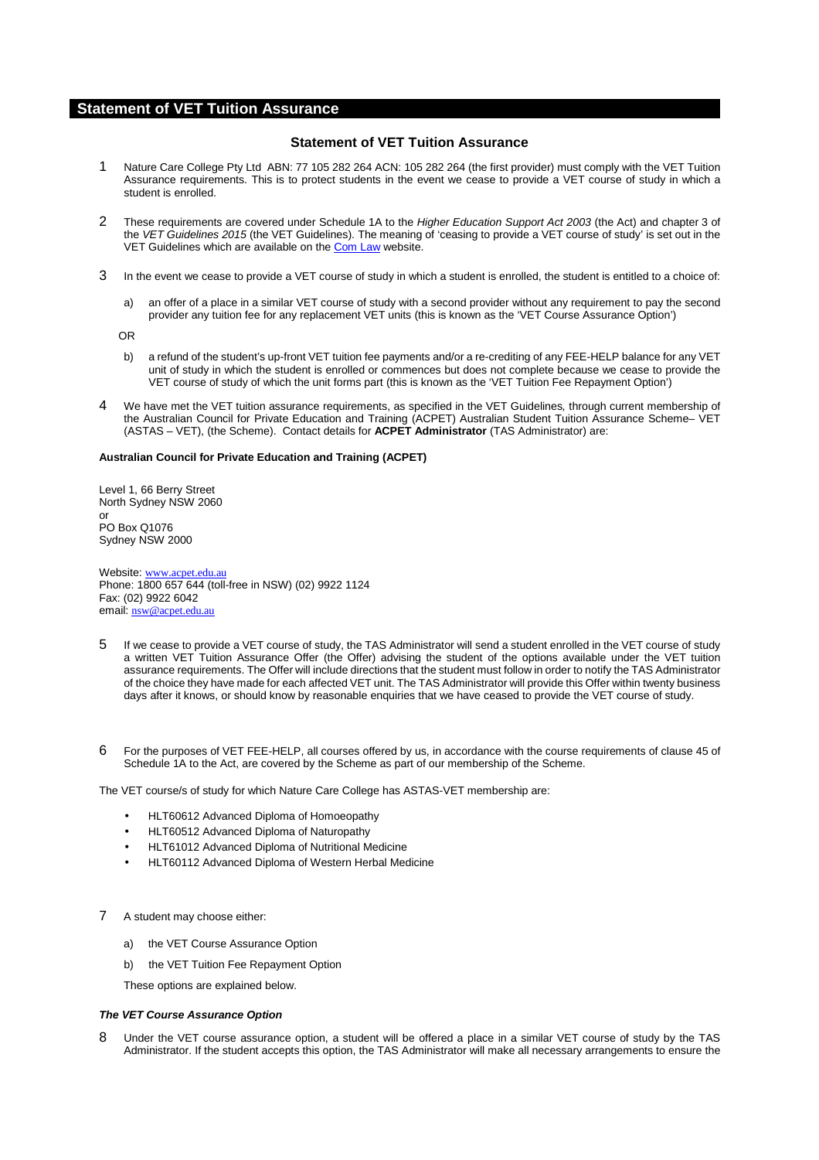# **Statement of VET Tuition Assurance**

# **Statement of VET Tuition Assurance**

- 1 Nature Care College Pty Ltd ABN: 77 105 282 264 ACN: 105 282 264 (the first provider) must comply with the VET Tuition Assurance requirements. This is to protect students in the event we cease to provide a VET course of study in which a student is enrolled.
- 2 These requirements are covered under Schedule 1A to the Higher Education Support Act 2003 (the Act) and chapter 3 of the VET Guidelines 2015 (the VET Guidelines). The meaning of 'ceasing to provide a VET course of study' is set out in the VET Guidelines which are available on the Com Law website.
- 3 In the event we cease to provide a VET course of study in which a student is enrolled, the student is entitled to a choice of:
	- a) an offer of a place in a similar VET course of study with a second provider without any requirement to pay the second provider any tuition fee for any replacement VET units (this is known as the 'VET Course Assurance Option')

OR

- b) a refund of the student's up-front VET tuition fee payments and/or a re-crediting of any FEE-HELP balance for any VET unit of study in which the student is enrolled or commences but does not complete because we cease to provide the VET course of study of which the unit forms part (this is known as the 'VET Tuition Fee Repayment Option')
- 4 We have met the VET tuition assurance requirements, as specified in the VET Guidelines, through current membership of the Australian Council for Private Education and Training (ACPET) Australian Student Tuition Assurance Scheme– VET (ASTAS – VET), (the Scheme). Contact details for **ACPET Administrator** (TAS Administrator) are:

## **Australian Council for Private Education and Training (ACPET)**

Level 1, 66 Berry Street North Sydney NSW 2060 or PO Box Q1076 Sydney NSW 2000

Website: www.acpet.edu.au Phone: 1800 657 644 (toll-free in NSW) (02) 9922 1124 Fax: (02) 9922 6042 email: nsw@acpet.edu.au

- 5 If we cease to provide a VET course of study, the TAS Administrator will send a student enrolled in the VET course of study a written VET Tuition Assurance Offer (the Offer) advising the student of the options available under the VET tuition assurance requirements. The Offer will include directions that the student must follow in order to notify the TAS Administrator of the choice they have made for each affected VET unit. The TAS Administrator will provide this Offer within twenty business days after it knows, or should know by reasonable enquiries that we have ceased to provide the VET course of study.
- 6 For the purposes of VET FEE-HELP, all courses offered by us, in accordance with the course requirements of clause 45 of Schedule 1A to the Act, are covered by the Scheme as part of our membership of the Scheme.

The VET course/s of study for which Nature Care College has ASTAS-VET membership are:

- HLT60612 Advanced Diploma of Homoeopathy
- HLT60512 Advanced Diploma of Naturopathy
- HLT61012 Advanced Diploma of Nutritional Medicine
- HLT60112 Advanced Diploma of Western Herbal Medicine
- 7 A student may choose either:
	- a) the VET Course Assurance Option
	- b) the VET Tuition Fee Repayment Option

These options are explained below.

#### **The VET Course Assurance Option**

8 Under the VET course assurance option, a student will be offered a place in a similar VET course of study by the TAS Administrator. If the student accepts this option, the TAS Administrator will make all necessary arrangements to ensure the